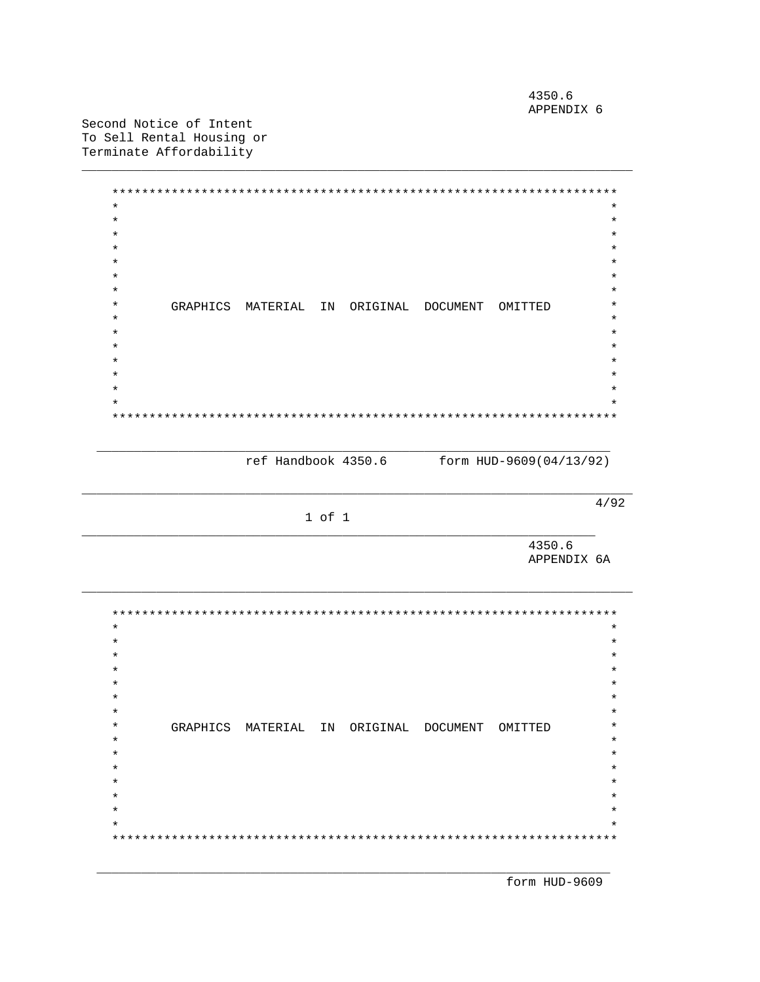4350.6 APPENDIX 6

Second Notice of Intent To Sell Rental Housing or Terminate Affordability

> $\star$  $\star$  $\star$  $\star$  $\star$  $\star$  $\star$  $\star$  $\star$  $\star$  $\star$ GRAPHICS MATERIAL IN ORIGINAL DOCUMENT OMITTED  $\star$  $\star$  $\ddot{\phantom{0}}$  $\star$

> > ref Handbook 4350.6 form HUD-9609(04/13/92)

 $4/92$ 

1 of 1

4350.6 APPENDIX 6A

 $\star$  $\star$  $\star$  $\star$  $\ast$  $\star$  $\star$  $\star$  $\star$  $\star$ GRAPHICS MATERIAL IN ORIGINAL DOCUMENT OMITTED  $\star$  $\star$  $\star$  $\ddot{\phantom{0}}$  $\star$  $\star$  $\star$ 

form HUD-9609